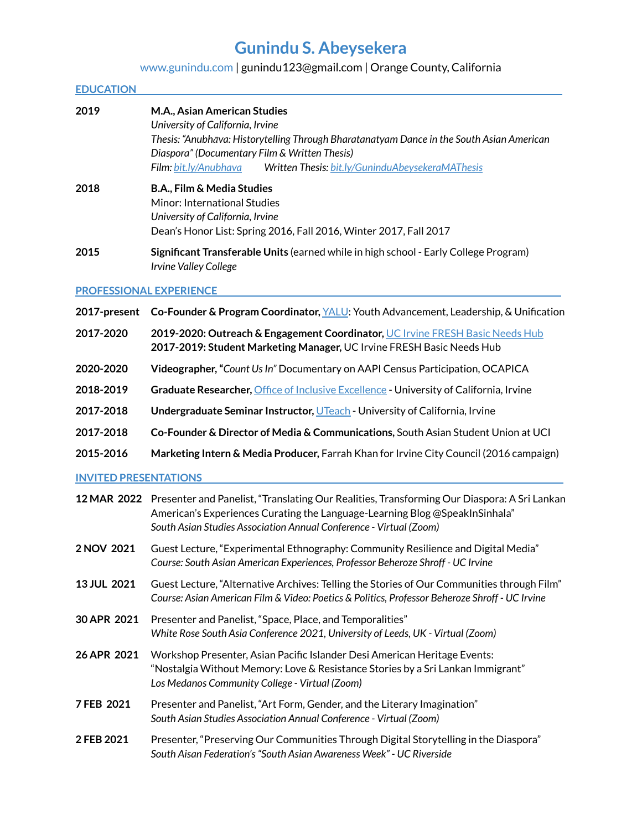# **Gunindu S. Abeysekera**

## [www.gunindu.com](http://www.gunindu.com/) | gunindu123@gmail.com | Orange County, California

#### **EDUCATION |**

| 2019 | M.A., Asian American Studies<br>University of California, Irvine<br>Thesis: "Anubhāva: Historytelling Through Bharatanatyam Dance in the South Asian American<br>Diaspora" (Documentary Film & Written Thesis)<br>Written Thesis: bit.ly/GuninduAbeysekeraMAThesis<br><b>Film</b> : bit.ly/Anubhava |  |
|------|-----------------------------------------------------------------------------------------------------------------------------------------------------------------------------------------------------------------------------------------------------------------------------------------------------|--|
| 2018 | B.A., Film & Media Studies<br>Minor: International Studies<br>University of California, Irvine<br>Dean's Honor List: Spring 2016, Fall 2016, Winter 2017, Fall 2017                                                                                                                                 |  |

**2015 Significant Transferable Units** (earned while in high school - Early College Program) *Irvine Valley College*

#### **PROFESSIONAL EXPERIENCE |**

- **2017-present Co-Founder & Program Coordinator,** [YALU](https://yalusrilanka.wixsite.com/mysite): Youth Advancement, Leadership, & Unification
- **2017-2020 2019-2020: Outreach & Engagement Coordinator,** UC Irvine [FRESH](https://basicneeds.uci.edu/) Basic Needs Hub **2017-2019: Student Marketing Manager,** UC Irvine FRESH Basic Needs Hub
- **2020-2020 Videographer,"***Count UsIn"* Documentary on AAPI Census Participation, OCAPICA
- **2018-2019 Graduate Researcher,** Office of Inclusive [Excellence](https://inclusion.uci.edu/) University of California, Irvine
- **2017-2018 Undergraduate Seminar Instructor,** [UTeach](https://sites.uci.edu/uteach/previous-classes/2018-2/#Devadas,%20Bollywood%20and%20Post-Colonial%20South%20Asia) University of California, Irvine
- **2017-2018 Co-Founder & Director of Media & Communications,** South Asian Student Union at UCI
- **2015-2016 Marketing Intern & Media Producer,** Farrah Khan for Irvine City Council (2016 campaign)

### **INVITED PRESENTATIONS |**

|             | 12 MAR 2022 Presenter and Panelist, "Translating Our Realities, Transforming Our Diaspora: A Sri Lankan<br>American's Experiences Curating the Language-Learning Blog @SpeakInSinhala"<br>South Asian Studies Association Annual Conference - Virtual (Zoom) |
|-------------|--------------------------------------------------------------------------------------------------------------------------------------------------------------------------------------------------------------------------------------------------------------|
| 2 NOV 2021  | Guest Lecture, "Experimental Ethnography: Community Resilience and Digital Media"<br>Course: South Asian American Experiences, Professor Beheroze Shroff - UC Irvine                                                                                         |
| 13 JUL 2021 | Guest Lecture, "Alternative Archives: Telling the Stories of Our Communities through Film"<br>Course: Asian American Film & Video: Poetics & Politics, Professor Beheroze Shroff - UC Irvine                                                                 |
| 30 APR 2021 | Presenter and Panelist, "Space, Place, and Temporalities"<br>White Rose South Asia Conference 2021, University of Leeds, UK - Virtual (Zoom)                                                                                                                 |
| 26 APR 2021 | Workshop Presenter, Asian Pacific Islander Desi American Heritage Events:<br>"Nostalgia Without Memory: Love & Resistance Stories by a Sri Lankan Immigrant"<br>Los Medanos Community College - Virtual (Zoom)                                               |
| 7 FEB 2021  | Presenter and Panelist, "Art Form, Gender, and the Literary Imagination"<br>South Asian Studies Association Annual Conference - Virtual (Zoom)                                                                                                               |
| 2 FEB 2021  | Presenter, "Preserving Our Communities Through Digital Storytelling in the Diaspora"<br>South Aisan Federation's "South Asian Awareness Week" - UC Riverside                                                                                                 |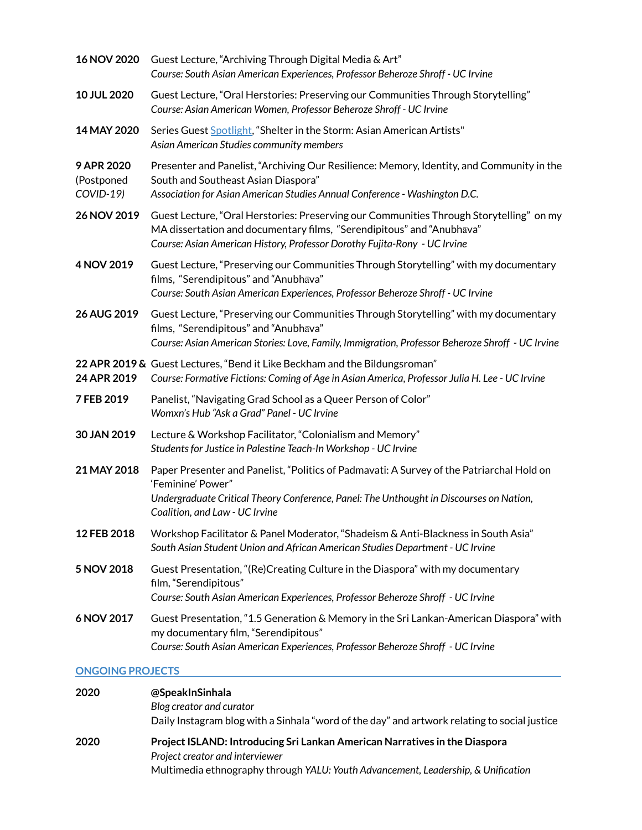| 16 NOV 2020                           | Guest Lecture, "Archiving Through Digital Media & Art"<br>Course: South Asian American Experiences, Professor Beheroze Shroff - UC Irvine                                                                                                     |  |  |
|---------------------------------------|-----------------------------------------------------------------------------------------------------------------------------------------------------------------------------------------------------------------------------------------------|--|--|
| 10 JUL 2020                           | Guest Lecture, "Oral Herstories: Preserving our Communities Through Storytelling"<br>Course: Asian American Women, Professor Beheroze Shroff - UC Irvine                                                                                      |  |  |
| 14 MAY 2020                           | Series Guest Spotlight, "Shelter in the Storm: Asian American Artists"<br>Asian American Studies community members                                                                                                                            |  |  |
| 9 APR 2020<br>(Postponed<br>COVID-19) | Presenter and Panelist, "Archiving Our Resilience: Memory, Identity, and Community in the<br>South and Southeast Asian Diaspora"<br>Association for Asian American Studies Annual Conference - Washington D.C.                                |  |  |
| 26 NOV 2019                           | Guest Lecture, "Oral Herstories: Preserving our Communities Through Storytelling" on my<br>MA dissertation and documentary films, "Serendipitous" and "Anubhava"<br>Course: Asian American History, Professor Dorothy Fujita-Rony - UC Irvine |  |  |
| 4 NOV 2019                            | Guest Lecture, "Preserving our Communities Through Storytelling" with my documentary<br>films, "Serendipitous" and "Anubhava"<br>Course: South Asian American Experiences, Professor Beheroze Shroff - UC Irvine                              |  |  |
| 26 AUG 2019                           | Guest Lecture, "Preserving our Communities Through Storytelling" with my documentary<br>films, "Serendipitous" and "Anubhava"<br>Course: Asian American Stories: Love, Family, Immigration, Professor Beheroze Shroff - UC Irvine             |  |  |
| 24 APR 2019                           | 22 APR 2019 & Guest Lectures, "Bend it Like Beckham and the Bildungsroman"<br>Course: Formative Fictions: Coming of Age in Asian America, Professor Julia H. Lee - UC Irvine                                                                  |  |  |
| 7 FEB 2019                            | Panelist, "Navigating Grad School as a Queer Person of Color"<br>Womxn's Hub "Ask a Grad" Panel - UC Irvine                                                                                                                                   |  |  |
| 30 JAN 2019                           | Lecture & Workshop Facilitator, "Colonialism and Memory"<br>Students for Justice in Palestine Teach-In Workshop - UC Irvine                                                                                                                   |  |  |
| 21 MAY 2018                           | Paper Presenter and Panelist, "Politics of Padmavati: A Survey of the Patriarchal Hold on<br>'Feminine' Power"<br>Undergraduate Critical Theory Conference, Panel: The Unthought in Discourses on Nation,<br>Coalition, and Law - UC Irvine   |  |  |
| 12 FEB 2018                           | Workshop Facilitator & Panel Moderator, "Shadeism & Anti-Blackness in South Asia"<br>South Asian Student Union and African American Studies Department - UC Irvine                                                                            |  |  |
| 5 NOV 2018                            | Guest Presentation, "(Re)Creating Culture in the Diaspora" with my documentary<br>film, "Serendipitous"<br>Course: South Asian American Experiences, Professor Beheroze Shroff - UC Irvine                                                    |  |  |
| 6 NOV 2017                            | Guest Presentation, "1.5 Generation & Memory in the Sri Lankan-American Diaspora" with<br>my documentary film, "Serendipitous"<br>Course: South Asian American Experiences, Professor Beheroze Shroff - UC Irvine                             |  |  |
| <b>ONGOING PROJECTS</b>               |                                                                                                                                                                                                                                               |  |  |

## **2020 @SpeakInSinhala** *Blog creator and curator*

Daily Instagram blog with a Sinhala "word of the day" and artwork relating to social justice

## **2020 ProjectISLAND: Introducing Sri Lankan American Narratives in the Diaspora** *Project creator and interviewer* Multimedia ethnography through *YALU: Youth Advancement, Leadership, & Unification*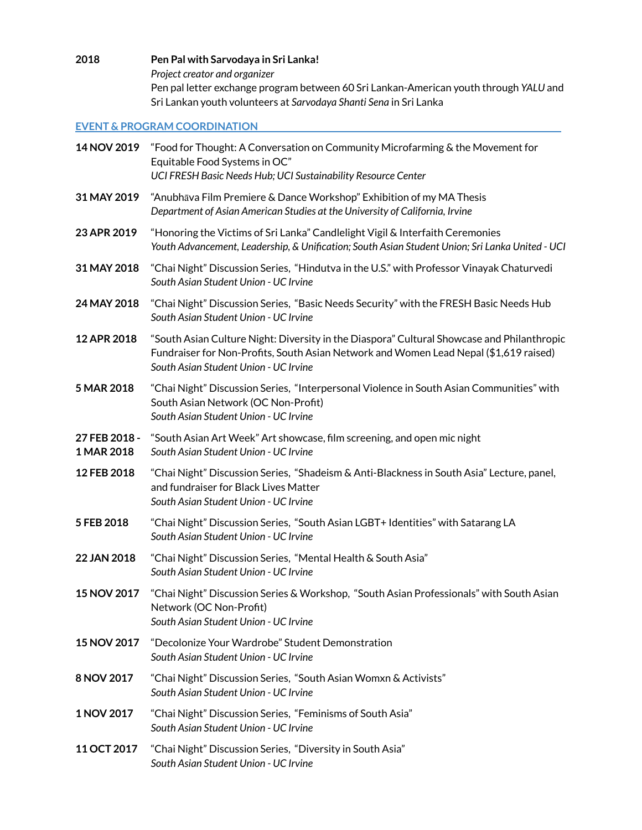**2018 Pen Pal with Sarvodaya in Sri Lanka!** *Project creator and organizer* Pen pal letter exchange program between 60 Sri Lankan-American youth through *YALU* and Sri Lankan youth volunteers at *Sarvodaya Shanti Sena* in Sri Lanka

## **EVENT & PROGRAM COORDINATION |**

| 14 NOV 2019                 | "Food for Thought: A Conversation on Community Microfarming & the Movement for<br>Equitable Food Systems in OC"<br>UCI FRESH Basic Needs Hub; UCI Sustainability Resource Center                                             |  |  |
|-----------------------------|------------------------------------------------------------------------------------------------------------------------------------------------------------------------------------------------------------------------------|--|--|
| 31 MAY 2019                 | "Anubhava Film Premiere & Dance Workshop" Exhibition of my MA Thesis<br>Department of Asian American Studies at the University of California, Irvine                                                                         |  |  |
| 23 APR 2019                 | "Honoring the Victims of Sri Lanka" Candlelight Vigil & Interfaith Ceremonies<br>Youth Advancement, Leadership, & Unification; South Asian Student Union; Sri Lanka United - UCI                                             |  |  |
| 31 MAY 2018                 | "Chai Night" Discussion Series, "Hindutva in the U.S." with Professor Vinayak Chaturvedi<br>South Asian Student Union - UC Irvine                                                                                            |  |  |
| 24 MAY 2018                 | "Chai Night" Discussion Series, "Basic Needs Security" with the FRESH Basic Needs Hub<br>South Asian Student Union - UC Irvine                                                                                               |  |  |
| 12 APR 2018                 | "South Asian Culture Night: Diversity in the Diaspora" Cultural Showcase and Philanthropic<br>Fundraiser for Non-Profits, South Asian Network and Women Lead Nepal (\$1,619 raised)<br>South Asian Student Union - UC Irvine |  |  |
| 5 MAR 2018                  | "Chai Night" Discussion Series, "Interpersonal Violence in South Asian Communities" with<br>South Asian Network (OC Non-Profit)<br>South Asian Student Union - UC Irvine                                                     |  |  |
| 27 FEB 2018 -<br>1 MAR 2018 | "South Asian Art Week" Art showcase, film screening, and open mic night<br>South Asian Student Union - UC Irvine                                                                                                             |  |  |
| 12 FEB 2018                 | "Chai Night" Discussion Series, "Shadeism & Anti-Blackness in South Asia" Lecture, panel,<br>and fundraiser for Black Lives Matter<br>South Asian Student Union - UC Irvine                                                  |  |  |
| 5 FEB 2018                  | "Chai Night" Discussion Series, "South Asian LGBT+ Identities" with Satarang LA<br>South Asian Student Union - UC Irvine                                                                                                     |  |  |
| 22 JAN 2018                 | "Chai Night" Discussion Series, "Mental Health & South Asia"<br>South Asian Student Union - UC Irvine                                                                                                                        |  |  |
| 15 NOV 2017                 | "Chai Night" Discussion Series & Workshop, "South Asian Professionals" with South Asian<br>Network (OC Non-Profit)<br>South Asian Student Union - UC Irvine                                                                  |  |  |
| <b>15 NOV 2017</b>          | "Decolonize Your Wardrobe" Student Demonstration<br>South Asian Student Union - UC Irvine                                                                                                                                    |  |  |
| 8 NOV 2017                  | "Chai Night" Discussion Series, "South Asian Womxn & Activists"<br>South Asian Student Union - UC Irvine                                                                                                                     |  |  |
| 1 NOV 2017                  | "Chai Night" Discussion Series, "Feminisms of South Asia"<br>South Asian Student Union - UC Irvine                                                                                                                           |  |  |
| 11 OCT 2017                 | "Chai Night" Discussion Series, "Diversity in South Asia"<br>South Asian Student Union - UC Irvine                                                                                                                           |  |  |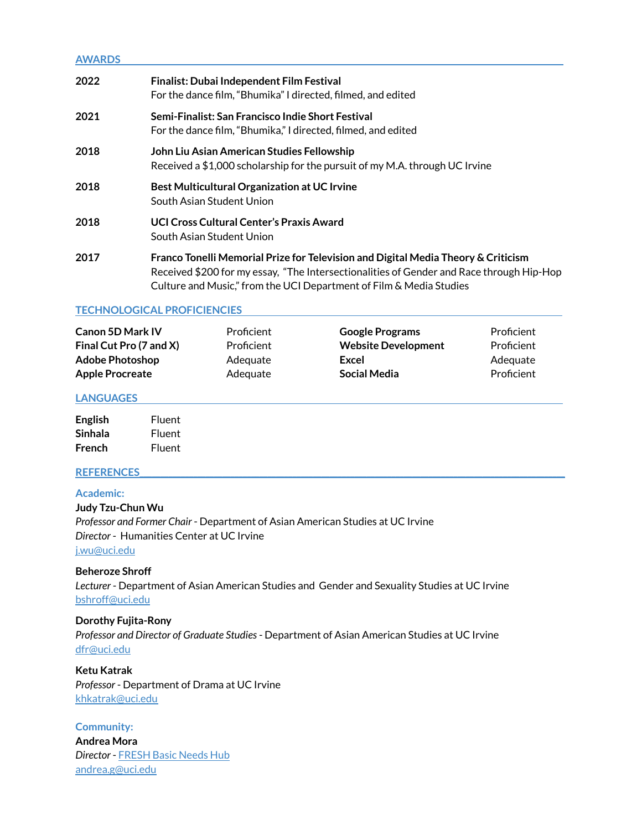## **AWARDS | 2022 Finalist: Dubai Independent Film Festival** For the dance film, "Bhumika" I directed, filmed, and edited **2021 Semi-Finalist: San Francisco Indie Short Festival** For the dance film, "Bhumika," I directed, filmed, and edited **2018 John Liu Asian American Studies Fellowship** Received a \$1,000 scholarship for the pursuit of my M.A. through UC Irvine **2018 Best Multicultural Organization at UC Irvine** South Asian Student Union **2018 UCI Cross Cultural Center's Praxis Award** South Asian Student Union **2017 Franco Tonelli Memorial Prize for Television and Digital Media Theory & Criticism**

Received \$200 for my essay, "The Intersectionalities of Gender and Race through Hip-Hop Culture and Music," from the UCI Department of Film & Media Studies

### **TECHNOLOGICAL PROFICIENCIES |**

| <b>Canon 5D Mark IV</b> | Proficient | <b>Google Programs</b>     | Proficient |
|-------------------------|------------|----------------------------|------------|
| Final Cut Pro (7 and X) | Proficient | <b>Website Development</b> | Proficient |
| <b>Adobe Photoshop</b>  | Adequate   | Excel                      | Adequate   |
| <b>Apple Procreate</b>  | Adequate   | Social Media               | Proficient |

#### **LANGUAGES |**

| <b>English</b> | Fluent |
|----------------|--------|
| Sinhala        | Fluent |
| French         | Fluent |

### **REFERENCES\_\_\_\_\_\_\_\_\_\_\_\_\_\_\_\_\_\_\_\_\_\_\_\_\_\_\_\_\_\_\_\_\_\_\_\_\_\_\_\_\_\_\_\_\_\_\_\_\_\_\_\_\_\_\_\_\_\_\_\_\_\_\_\_\_\_\_\_\_\_\_\_\_\_\_\_\_\_\_\_\_\_\_\_\_\_\_\_\_\_\_\_\_\_\_\_\_\_\_\_\_\_\_**

### **Academic:**

**Judy Tzu-Chun Wu** *Professor and Former Chair* - Department of Asian American Studies at UC Irvine *Director* - Humanities Center at UC Irvine [j.wu@uci.edu](mailto:j.wu@uci.edu)

### **Beheroze Shroff**

*Lecturer* - Department of Asian American Studies and Gender and Sexuality Studies at UC Irvine [bshroff@uci.edu](mailto:bshroff@uci.edu)

#### **Dorothy Fujita-Rony**

*Professor and Director of Graduate Studies*- Department of Asian American Studies at UC Irvine [dfr@uci.edu](mailto:dfr@uci.edu)

**Ketu Katrak** *Professor* - Department of Drama at UC Irvine [khkatrak@uci.edu](mailto:khkatrak@uci.edu)

**Community: Andrea Mora** *Director* - [FRESH](https://basicneeds.uci.edu/) Basic Needs Hub [andrea.g@uci.edu](mailto:andrea.g@uci.edu)